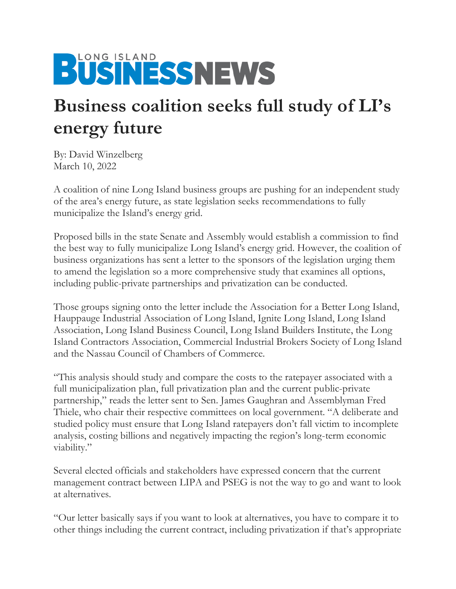## **LONG ISLAND BÜSINESSNEWS**

## **Business coalition seeks full study of LI's energy future**

By: David Winzelberg March 10, 2022

A coalition of nine Long Island business groups are pushing for an independent study of the area's energy future, as state legislation seeks recommendations to fully municipalize the Island's energy grid.

Proposed bills in the state Senate and Assembly would establish a commission to find the best way to fully municipalize Long Island's energy grid. However, the coalition of business organizations has sent a letter to the sponsors of the legislation urging them to amend the legislation so a more comprehensive study that examines all options, including public-private partnerships and privatization can be conducted.

Those groups signing onto the letter include the Association for a Better Long Island, Hauppauge Industrial Association of Long Island, Ignite Long Island, Long Island Association, Long Island Business Council, Long Island Builders Institute, the Long Island Contractors Association, Commercial Industrial Brokers Society of Long Island and the Nassau Council of Chambers of Commerce.

"This analysis should study and compare the costs to the ratepayer associated with a full municipalization plan, full privatization plan and the current public-private partnership," reads the letter sent to Sen. James Gaughran and Assemblyman Fred Thiele, who chair their respective committees on local government. "A deliberate and studied policy must ensure that Long Island ratepayers don't fall victim to incomplete analysis, costing billions and negatively impacting the region's long-term economic viability."

Several elected officials and stakeholders have expressed concern that the current management contract between LIPA and PSEG is not the way to go and want to look at alternatives.

"Our letter basically says if you want to look at alternatives, you have to compare it to other things including the current contract, including privatization if that's appropriate